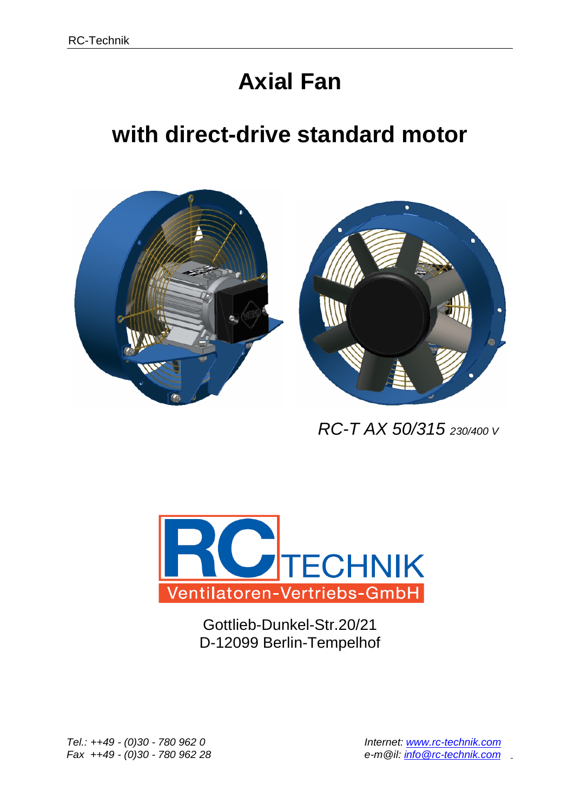## **Axial Fan**

## **with direct-drive standard motor**



 *RC-T AX 50/315 230/400 V*



Gottlieb-Dunkel-Str.20/21 D-12099 Berlin-Tempelhof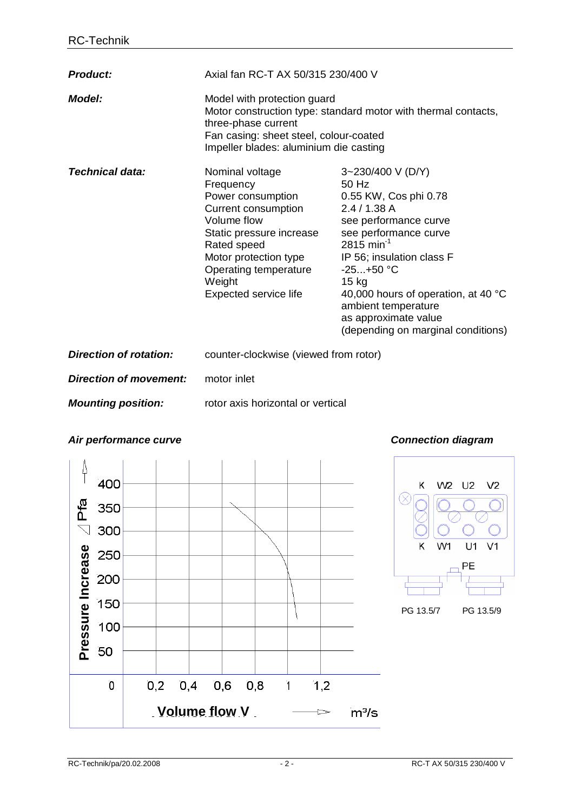| <b>Product:</b>               | Axial fan RC-T AX 50/315 230/400 V                                                                                                                                                                                      |                                                                                                                                                                                                                                                                                                                                   |
|-------------------------------|-------------------------------------------------------------------------------------------------------------------------------------------------------------------------------------------------------------------------|-----------------------------------------------------------------------------------------------------------------------------------------------------------------------------------------------------------------------------------------------------------------------------------------------------------------------------------|
| <b>Model:</b>                 | Model with protection guard<br>Motor construction type: standard motor with thermal contacts,<br>three-phase current<br>Fan casing: sheet steel, colour-coated<br>Impeller blades: aluminium die casting                |                                                                                                                                                                                                                                                                                                                                   |
| Technical data:               | Nominal voltage<br>Frequency<br>Power consumption<br>Current consumption<br>Volume flow<br>Static pressure increase<br>Rated speed<br>Motor protection type<br>Operating temperature<br>Weight<br>Expected service life | 3~230/400 V (D/Y)<br>50 Hz<br>0.55 KW, Cos phi 0.78<br>2.4/1.38A<br>see performance curve<br>see performance curve<br>$2815$ min <sup>-1</sup><br>IP 56; insulation class F<br>$-25+50 °C$<br>$15$ kg<br>40,000 hours of operation, at 40 °C<br>ambient temperature<br>as approximate value<br>(depending on marginal conditions) |
| <b>Direction of rotation:</b> | counter-clockwise (viewed from rotor)                                                                                                                                                                                   |                                                                                                                                                                                                                                                                                                                                   |
| <b>Direction of movement:</b> | motor inlet                                                                                                                                                                                                             |                                                                                                                                                                                                                                                                                                                                   |
| <b>Mounting position:</b>     | rotor axis horizontal or vertical                                                                                                                                                                                       |                                                                                                                                                                                                                                                                                                                                   |

## *Air performance curve Connection diagram*